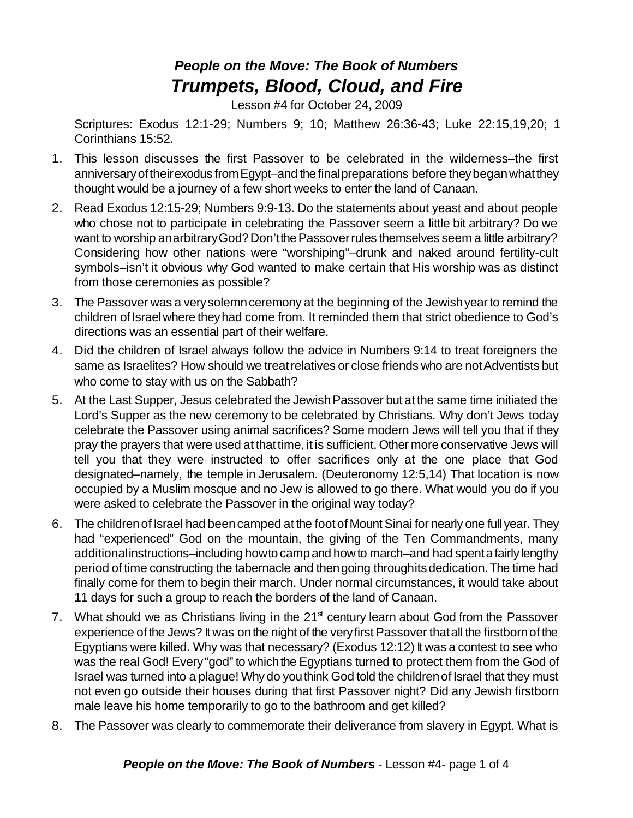## *People on the Move: The Book of Numbers Trumpets, Blood, Cloud, and Fire*

Lesson #4 for October 24, 2009

Scriptures: Exodus 12:1-29; Numbers 9; 10; Matthew 26:36-43; Luke 22:15,19,20; 1 Corinthians 15:52.

- 1. This lesson discusses the first Passover to be celebrated in the wilderness–the first anniversaryoftheirexodus fromEgypt–and the finalpreparations before theybeganwhatthey thought would be a journey of a few short weeks to enter the land of Canaan.
- 2. Read Exodus 12:15-29; Numbers 9:9-13. Do the statements about yeast and about people who chose not to participate in celebrating the Passover seem a little bit arbitrary? Do we want to worship anarbitrary God? Don't the Passover rules themselves seem a little arbitrary? Considering how other nations were "worshiping"–drunk and naked around fertility-cult symbols–isn't it obvious why God wanted to make certain that His worship was as distinct from those ceremonies as possible?
- 3. The Passover was a verysolemnceremony at the beginning of the Jewishyear to remind the children of Israel where they had come from. It reminded them that strict obedience to God's directions was an essential part of their welfare.
- 4. Did the children of Israel always follow the advice in Numbers 9:14 to treat foreigners the same as Israelites? How should we treat relatives or close friends who are not Adventists but who come to stay with us on the Sabbath?
- 5. At the Last Supper, Jesus celebrated the JewishPassover but at the same time initiated the Lord's Supper as the new ceremony to be celebrated by Christians. Why don't Jews today celebrate the Passover using animal sacrifices? Some modern Jews will tell you that if they pray the prayers that were used at that time, it is sufficient. Other more conservative Jews will tell you that they were instructed to offer sacrifices only at the one place that God designated–namely, the temple in Jerusalem. (Deuteronomy 12:5,14) That location is now occupied by a Muslim mosque and no Jew is allowed to go there. What would you do if you were asked to celebrate the Passover in the original way today?
- 6. The children of Israel had been camped at the foot of Mount Sinai for nearly one full year. They had "experienced" God on the mountain, the giving of the Ten Commandments, many additionalinstructions–including howto campand howto march–and had spentafairlylengthy period of time constructing the tabernacle and thengoing throughitsdedication.The time had finally come for them to begin their march. Under normal circumstances, it would take about 11 days for such a group to reach the borders of the land of Canaan.
- 7. What should we as Christians living in the  $21<sup>st</sup>$  century learn about God from the Passover experience of the Jews? It was on the night of the very first Passover that all the firstborn of the Egyptians were killed. Why was that necessary? (Exodus 12:12) It was a contest to see who was the real God! Every "god" to which the Egyptians turned to protect them from the God of Israel was turned into a plague! Why do youthink God told the childrenof Israel that they must not even go outside their houses during that first Passover night? Did any Jewish firstborn male leave his home temporarily to go to the bathroom and get killed?
- 8. The Passover was clearly to commemorate their deliverance from slavery in Egypt. What is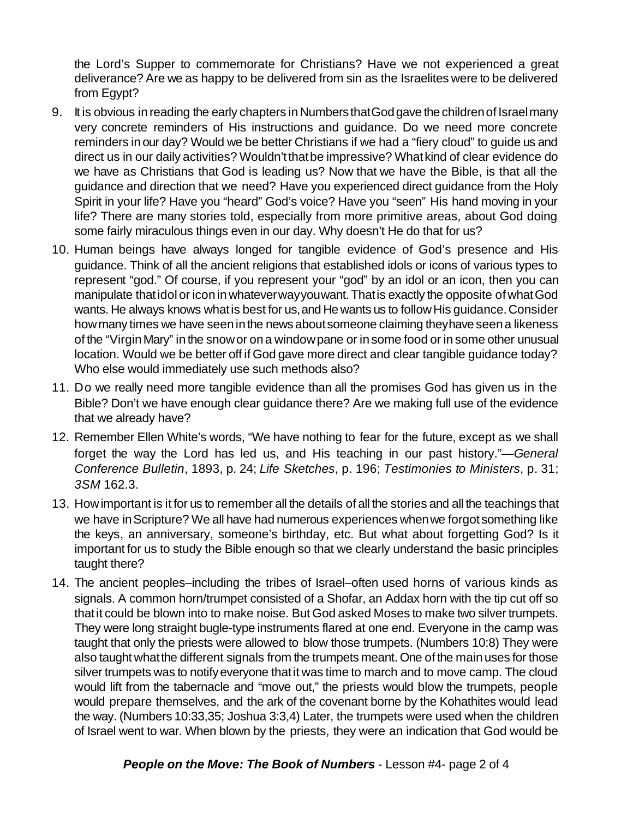the Lord's Supper to commemorate for Christians? Have we not experienced a great deliverance? Are we as happy to be delivered from sin as the Israelites were to be delivered from Egypt?

- 9. It is obvious in reading the early chapters in Numbers that God gave the children of Israel many very concrete reminders of His instructions and guidance. Do we need more concrete reminders in our day? Would we be better Christians if we had a "fiery cloud" to guide us and direct us in our daily activities? Wouldn'tthatbe impressive? Whatkind of clear evidence do we have as Christians that God is leading us? Now that we have the Bible, is that all the guidance and direction that we need? Have you experienced direct guidance from the Holy Spirit in your life? Have you "heard" God's voice? Have you "seen" His hand moving in your life? There are many stories told, especially from more primitive areas, about God doing some fairly miraculous things even in our day. Why doesn't He do that for us?
- 10. Human beings have always longed for tangible evidence of God's presence and His guidance. Think of all the ancient religions that established idols or icons of various types to represent "god." Of course, if you represent your "god" by an idol or an icon, then you can manipulate that idol or icon in whatever way you want. That is exactly the opposite of what God wants. He always knows what is best for us, and He wants us to follow His guidance. Consider how many times we have seen in the news about someone claiming they have seen a likeness of the "VirginMary" in the snowor ona windowpane or in some food or in some other unusual location. Would we be better off if God gave more direct and clear tangible guidance today? Who else would immediately use such methods also?
- 11. Do we really need more tangible evidence than all the promises God has given us in the Bible? Don't we have enough clear guidance there? Are we making full use of the evidence that we already have?
- 12. Remember Ellen White's words, "We have nothing to fear for the future, except as we shall forget the way the Lord has led us, and His teaching in our past history."—*General Conference Bulletin*, 1893, p. 24; *Life Sketches*, p. 196; *Testimonies to Ministers*, p. 31; *3SM* 162.3.
- 13. Howimportant is it for us to remember all the details of all the stories and all the teachings that we have in Scripture? We all have had numerous experiences when we forgot something like the keys, an anniversary, someone's birthday, etc. But what about forgetting God? Is it important for us to study the Bible enough so that we clearly understand the basic principles taught there?
- 14. The ancient peoples–including the tribes of Israel–often used horns of various kinds as signals. A common horn/trumpet consisted of a Shofar, an Addax horn with the tip cut off so thatit could be blown into to make noise. But God asked Moses to make two silver trumpets. They were long straight bugle-type instruments flared at one end. Everyone in the camp was taught that only the priests were allowed to blow those trumpets. (Numbers 10:8) They were also taught what the different signals from the trumpets meant. One of the main uses for those silver trumpets was to notify everyone that it was time to march and to move camp. The cloud would lift from the tabernacle and "move out," the priests would blow the trumpets, people would prepare themselves, and the ark of the covenant borne by the Kohathites would lead the way. (Numbers 10:33,35; Joshua 3:3,4) Later, the trumpets were used when the children of Israel went to war. When blown by the priests, they were an indication that God would be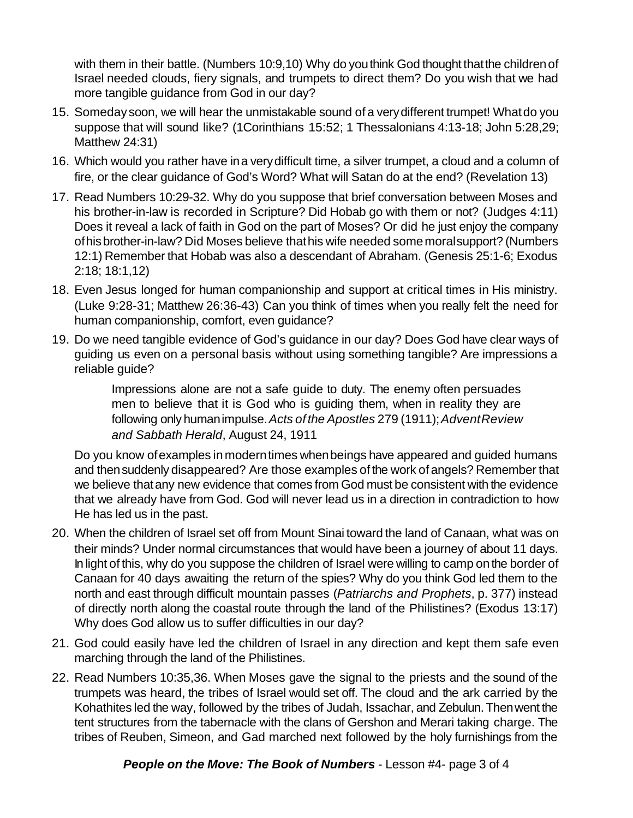with them in their battle. (Numbers 10:9,10) Why do you think God thought that the children of Israel needed clouds, fiery signals, and trumpets to direct them? Do you wish that we had more tangible guidance from God in our day?

- 15. Someday soon, we will hear the unmistakable sound of a verydifferent trumpet! Whatdo you suppose that will sound like? (1Corinthians 15:52; 1 Thessalonians 4:13-18; John 5:28,29; Matthew 24:31)
- 16. Which would you rather have ina verydifficult time, a silver trumpet, a cloud and a column of fire, or the clear guidance of God's Word? What will Satan do at the end? (Revelation 13)
- 17. Read Numbers 10:29-32. Why do you suppose that brief conversation between Moses and his brother-in-law is recorded in Scripture? Did Hobab go with them or not? (Judges 4:11) Does it reveal a lack of faith in God on the part of Moses? Or did he just enjoy the company ofhisbrother-in-law? Did Moses believe thathis wife needed somemoralsupport? (Numbers 12:1) Remember that Hobab was also a descendant of Abraham. (Genesis 25:1-6; Exodus 2:18; 18:1,12)
- 18. Even Jesus longed for human companionship and support at critical times in His ministry. (Luke 9:28-31; Matthew 26:36-43) Can you think of times when you really felt the need for human companionship, comfort, even guidance?
- 19. Do we need tangible evidence of God's guidance in our day? Does God have clear ways of guiding us even on a personal basis without using something tangible? Are impressions a reliable guide?

Impressions alone are not a safe guide to duty. The enemy often persuades men to believe that it is God who is guiding them, when in reality they are following only humanimpulse.*Acts of the Apostles* 279 (1911);*AdventReview and Sabbath Herald*, August 24, 1911

Do you know of examples in modern times when beings have appeared and guided humans and thensuddenly disappeared? Are those examples of the work of angels? Remember that we believe thatany new evidence that comes from God must be consistent with the evidence that we already have from God. God will never lead us in a direction in contradiction to how He has led us in the past.

- 20. When the children of Israel set off from Mount Sinai toward the land of Canaan, what was on their minds? Under normal circumstances that would have been a journey of about 11 days. In light of this, why do you suppose the children of Israel were willing to camp onthe border of Canaan for 40 days awaiting the return of the spies? Why do you think God led them to the north and east through difficult mountain passes (*Patriarchs and Prophets*, p. 377) instead of directly north along the coastal route through the land of the Philistines? (Exodus 13:17) Why does God allow us to suffer difficulties in our day?
- 21. God could easily have led the children of Israel in any direction and kept them safe even marching through the land of the Philistines.
- 22. Read Numbers 10:35,36. When Moses gave the signal to the priests and the sound of the trumpets was heard, the tribes of Israel would set off. The cloud and the ark carried by the Kohathites led the way, followed by the tribes of Judah, Issachar, and Zebulun. Thenwent the tent structures from the tabernacle with the clans of Gershon and Merari taking charge. The tribes of Reuben, Simeon, and Gad marched next followed by the holy furnishings from the

*People on the Move: The Book of Numbers* - Lesson #4- page 3 of 4